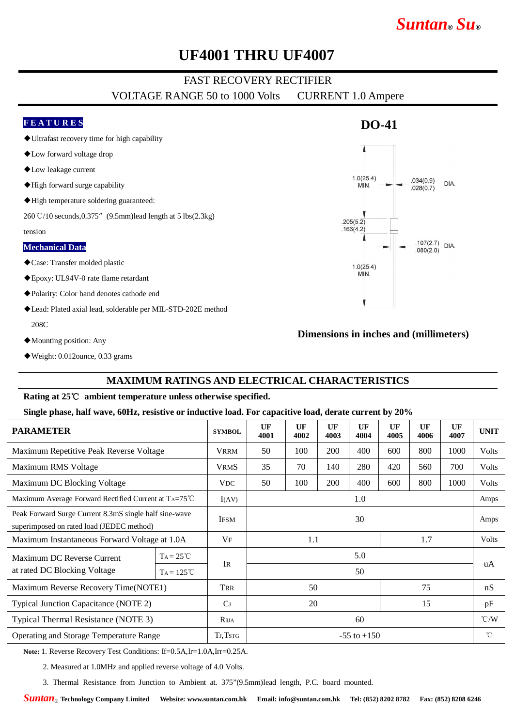# **UF4001 THRU UF4007**

# FAST RECOVERY RECTIFIER

VOLTAGE RANGE 50 to 1000 Volts CURRENT 1.0 Ampere

## **F E A T U R E S**

- ◆Ultrafast recovery time for high capability
- ◆Low forward voltage drop
- ◆Low leakage current
- ◆High forward surge capability
- ◆High temperature soldering guaranteed:

260℃/10 seconds,0.375"(9.5mm)lead length at 5 lbs(2.3kg)

tension

### **Mechanical Data**

- ◆Case: Transfer molded plastic
- ◆Epoxy: UL94V-0 rate flame retardant
- ◆Polarity: Color band denotes cathode end
- ◆Lead: Plated axial lead, solderable per MIL-STD-202E method 208C
- ◆Mounting position: Any
- ◆Weight: 0.012ounce, 0.33 grams

## **MAXIMUM RATINGS AND ELECTRICAL CHARACTERISTICS**

### **Rating at 25**℃ **ambient temperature unless otherwise specified.**

### **Single phase, half wave, 60Hz, resistive or inductive load. For capacitive load, derate current by 20%**

| <b>PARAMETER</b>                                                                                    |                     | <b>SYMBOL</b>   | UF<br>4001      | $_{\rm UF}$<br>4002 | <b>UF</b><br>4003 | UF<br>4004 | UF<br>4005 | UF<br>4006 | UF<br>4007   | <b>UNIT</b>   |
|-----------------------------------------------------------------------------------------------------|---------------------|-----------------|-----------------|---------------------|-------------------|------------|------------|------------|--------------|---------------|
| Maximum Repetitive Peak Reverse Voltage                                                             |                     | <b>VRRM</b>     | 50              | 100                 | 200               | 400        | 600        | 800        | 1000         | Volts         |
| Maximum RMS Voltage                                                                                 |                     | <b>VRMS</b>     | 35              | 70                  | 140               | 280        | 420        | 560        | 700          | Volts         |
| Maximum DC Blocking Voltage                                                                         |                     | <b>VDC</b>      | 50              | 100                 | 200               | 400        | 600        | 800        | 1000         | Volts         |
| Maximum Average Forward Rectified Current at TA=75°C                                                |                     | I(AV)           | 1.0             |                     |                   |            |            |            |              | Amps          |
| Peak Forward Surge Current 8.3mS single half sine-wave<br>superimposed on rated load (JEDEC method) |                     | <b>IFSM</b>     | 30              |                     |                   |            |            |            |              | Amps          |
| Maximum Instantaneous Forward Voltage at 1.0A                                                       |                     | $V_{\text{F}}$  | 1.7<br>1.1      |                     |                   |            |            |            | <b>Volts</b> |               |
| Maximum DC Reverse Current<br>at rated DC Blocking Voltage                                          | $Ta = 25^{\circ}C$  | IR              | 5.0             |                     |                   |            |            |            |              | uA            |
|                                                                                                     | $Ta = 125^{\circ}C$ |                 | 50              |                     |                   |            |            |            |              |               |
| Maximum Reverse Recovery Time(NOTE1)                                                                |                     | TRR             | 75<br>50        |                     |                   |            |            |            | nS           |               |
| Typical Junction Capacitance (NOTE 2)                                                               |                     | C <sub>J</sub>  | 20<br>15        |                     |                   |            |            | pF         |              |               |
| Typical Thermal Resistance (NOTE 3)                                                                 |                     | $R_{\theta JA}$ | 60              |                     |                   |            |            |            |              | $\degree$ C/W |
| Operating and Storage Temperature Range                                                             |                     | TJ, TSTG        | $-55$ to $+150$ |                     |                   |            |            |            |              | $^{\circ}$ C  |
|                                                                                                     |                     |                 |                 |                     |                   |            |            |            |              |               |

**Note:** 1. Reverse Recovery Test Conditions: If=0.5A,Ir=1.0A,Irr=0.25A.

2. Measured at 1.0MHz and applied reverse voltage of 4.0 Volts.

3. Thermal Resistance from Junction to Ambient at. 375"(9.5mm)lead length, P.C. board mounted.



**DO-41**

*Suntan***®** *Su***®**

**Dimensions in inches and (millimeters)**